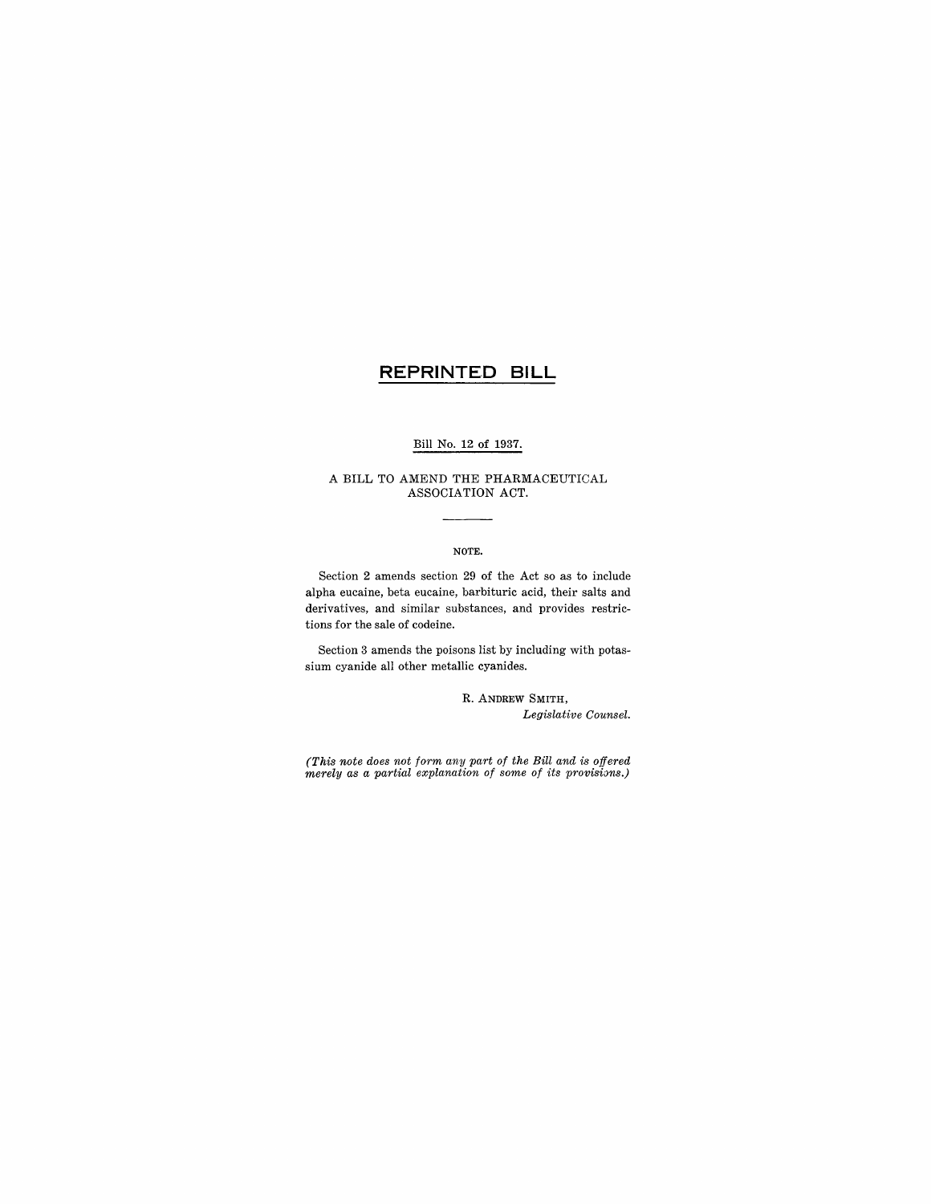# **REPRINTED BILL**

### Bill No. 12 of 1937.

#### A BILL TO AMEND THE PHARMACEUTICAL ASSOCIATION ACT.

#### NOTE.

Section 2 amends section 29 of the Act so as to include alpha eucaine, beta eucaine, barbituric acid, their salts and derivatives, and similar substances, and provides restrictions for the sale of codeine.

Section 3 amends the poisons list by including with potassium cyanide all other metallic cyanides.

> R. ANDREW SMITH, *Legislative Counsel.*

*(This note does not form any part of the Bill and is offered merely as a partial explanation of some of its provisions.)*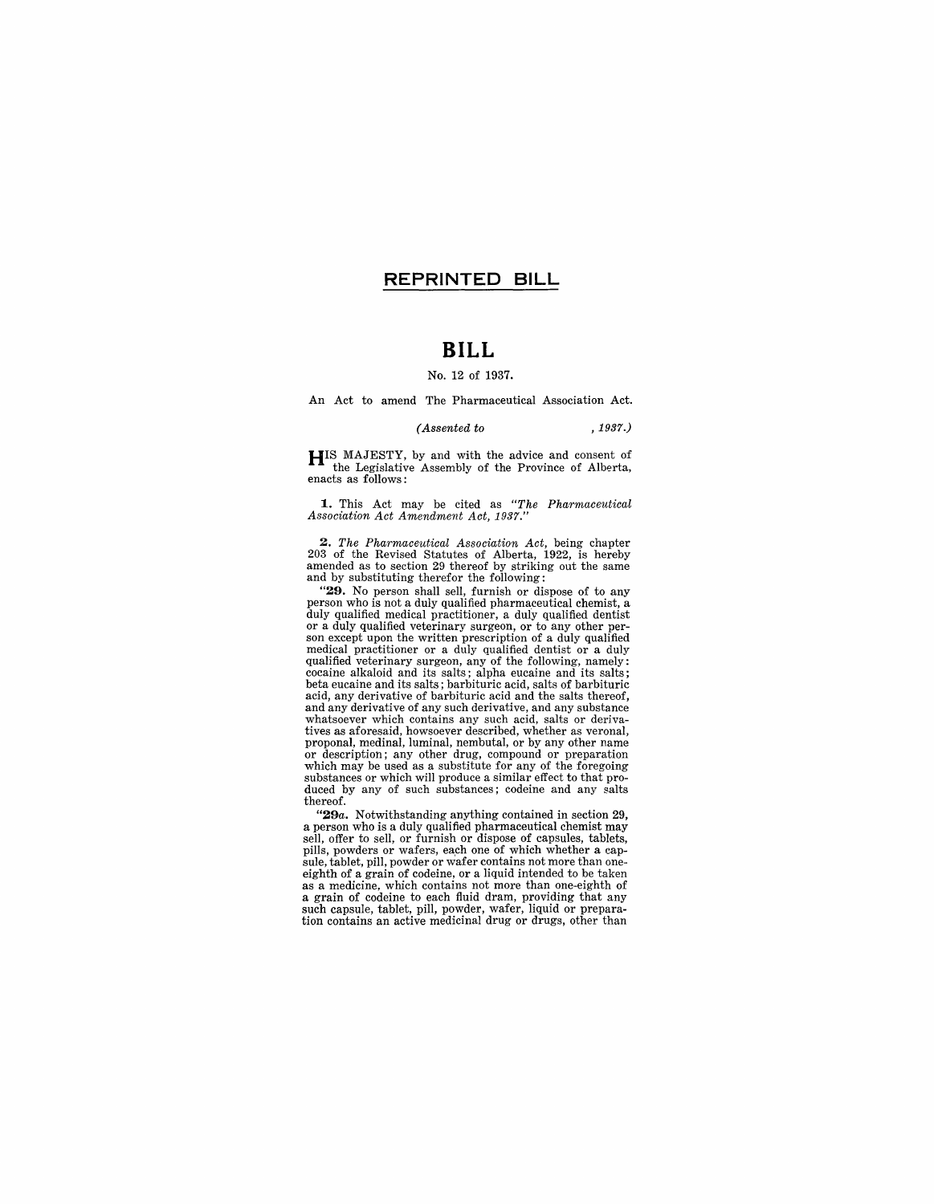### **REPRINTED BILL**

# **BILL**

#### No. 12 of 1937.

An Act to amend The Pharmaceutical Association Act.

*(Assented to* , 1937.)

**HIS** MAJESTY, by and with the advice and consent of the Legislative Assembly of the Province of Alberta, enacts as follows:

**1.** This Act may be cited as *"The Pharmaceutical Association Act Amendment Act, 1937."* 

*2. The Pharmaceutical Association Act,* being chapter 203 of the Revised Statutes of Alberta, 1922, is hereby amended as to section 29 thereof by striking out the same and by substituting therefor the following:

"29. No person shall sell, furnish or dispose of to any **Example 10** to the star set, the main of using the method of the duly qualified pharmaceutical chemist, a duly qualified medical practitioner, a duly qualified dentist or a duly qualified veterinary surgeon, or to any oth medical practitioner or a duly qualified dentist or a duly qualified veterinary surgeon, any of the following, namely: cocaine alkaloid and its salts; alpha eucaine and its salts; beta eucaine and its salts; barbituric acid, salts of barbituric acid, any derivative of barbituric acid and the salts thereof, and any derivative of any such derivative, and any substance whatsoever which contains any such acid, salts or derivatives as aforesaid, howsoever described, whether as veronal, or description; any other drug, compound or preparation which may be used as a substitute for any of the foregoing substances or which will produce a similar effect to that produced by any of such substances; codeine and any salts thereof.

*"29a.* Notwithstanding anything contained in section 29, a person who is a duly qualified pharmaceutical chemist may sell, offer to sell, or furnish or dispose of capsules, tablets, pills, powders or wafers, each one of which whether a cap-<br>sule, tablet, pill, powder or wafer contains not more than one-<br>eighth of a grain of codeine, or a liquid intended to be taken<br>as a medicine, which contains not mo a grain of codeine to each fluid dram, providing that any such capsule, tablet, pill, powder, wafer, liquid or preparation contains an active medicinal drug or drugs, other than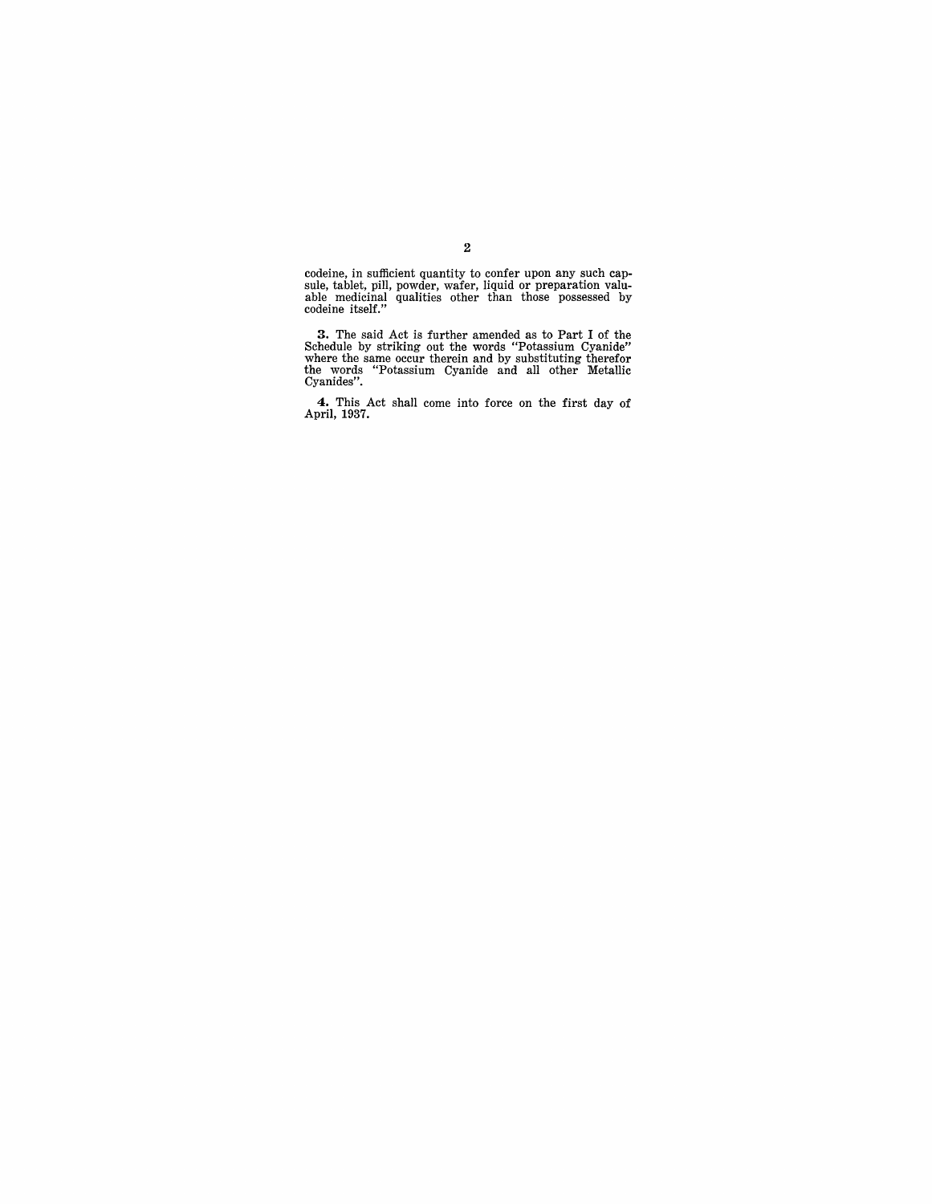codeine, in sufficient quantity to confer upon any such cap-sule, tablet, pill, powder, wafer, liquid or preparation valu-able medicinal qualities other than those possessed by codeine itself."

3. The said Act is further amended as to Part I of the Schedule by striking out the words "Potassium Cyanide" where the same occur therein and by substituting therefor the words "Potassium Cyanide and all other Metallic Cy

**4.** This Act shall come into force on the first day of April, 1937.

2